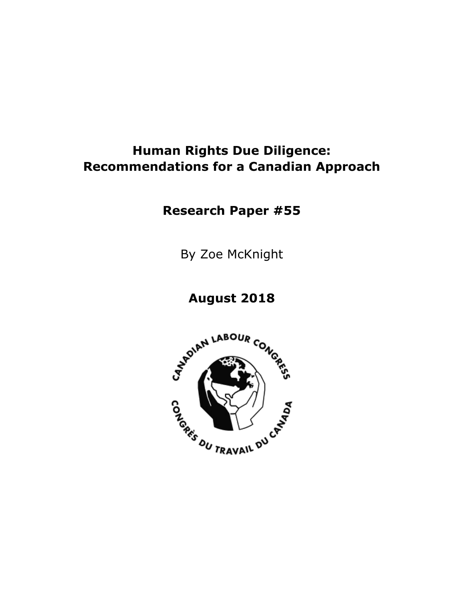# **Human Rights Due Diligence: Recommendations for a Canadian Approach**

**Research Paper #55**

By Zoe McKnight

## **August 2018**

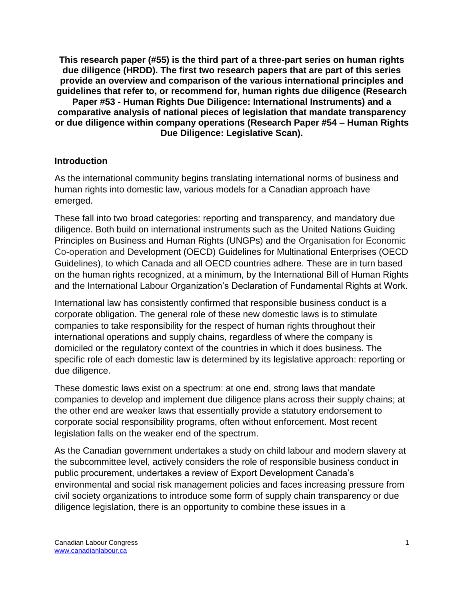**This research paper (#55) is the third part of a three-part series on human rights due diligence (HRDD). The first two research papers that are part of this series provide an overview and comparison of the various international principles and guidelines that refer to, or recommend for, human rights due diligence (Research Paper #53 - Human Rights Due Diligence: International Instruments) and a comparative analysis of national pieces of legislation that mandate transparency or due diligence within company operations (Research Paper #54 – Human Rights Due Diligence: Legislative Scan).** 

### **Introduction**

As the international community begins translating international norms of business and human rights into domestic law, various models for a Canadian approach have emerged.

These fall into two broad categories: reporting and transparency, and mandatory due diligence. Both build on international instruments such as the United Nations Guiding Principles on Business and Human Rights (UNGPs) and the Organisation for Economic Co-operation and Development (OECD) Guidelines for Multinational Enterprises (OECD Guidelines), to which Canada and all OECD countries adhere. These are in turn based on the human rights recognized, at a minimum, by the International Bill of Human Rights and the International Labour Organization's Declaration of Fundamental Rights at Work.

International law has consistently confirmed that responsible business conduct is a corporate obligation. The general role of these new domestic laws is to stimulate companies to take responsibility for the respect of human rights throughout their international operations and supply chains, regardless of where the company is domiciled or the regulatory context of the countries in which it does business. The specific role of each domestic law is determined by its legislative approach: reporting or due diligence.

These domestic laws exist on a spectrum: at one end, strong laws that mandate companies to develop and implement due diligence plans across their supply chains; at the other end are weaker laws that essentially provide a statutory endorsement to corporate social responsibility programs, often without enforcement. Most recent legislation falls on the weaker end of the spectrum.

As the Canadian government undertakes a study on child labour and modern slavery at the subcommittee level, actively considers the role of responsible business conduct in public procurement, undertakes a review of Export Development Canada's environmental and social risk management policies and faces increasing pressure from civil society organizations to introduce some form of supply chain transparency or due diligence legislation, there is an opportunity to combine these issues in a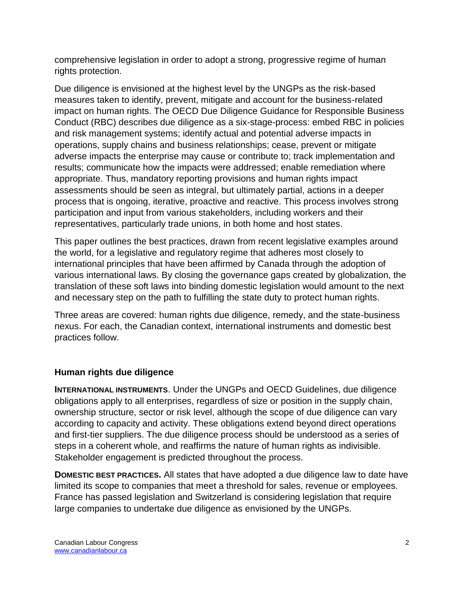comprehensive legislation in order to adopt a strong, progressive regime of human rights protection.

Due diligence is envisioned at the highest level by the UNGPs as the risk-based measures taken to identify, prevent, mitigate and account for the business-related impact on human rights. The OECD Due Diligence Guidance for Responsible Business Conduct (RBC) describes due diligence as a six-stage-process: embed RBC in policies and risk management systems; identify actual and potential adverse impacts in operations, supply chains and business relationships; cease, prevent or mitigate adverse impacts the enterprise may cause or contribute to; track implementation and results; communicate how the impacts were addressed; enable remediation where appropriate. Thus, mandatory reporting provisions and human rights impact assessments should be seen as integral, but ultimately partial, actions in a deeper process that is ongoing, iterative, proactive and reactive. This process involves strong participation and input from various stakeholders, including workers and their representatives, particularly trade unions, in both home and host states.

This paper outlines the best practices, drawn from recent legislative examples around the world, for a legislative and regulatory regime that adheres most closely to international principles that have been affirmed by Canada through the adoption of various international laws. By closing the governance gaps created by globalization, the translation of these soft laws into binding domestic legislation would amount to the next and necessary step on the path to fulfilling the state duty to protect human rights.

Three areas are covered: human rights due diligence, remedy, and the state-business nexus. For each, the Canadian context, international instruments and domestic best practices follow.

## **Human rights due diligence**

**INTERNATIONAL INSTRUMENTS**. Under the UNGPs and OECD Guidelines, due diligence obligations apply to all enterprises, regardless of size or position in the supply chain, ownership structure, sector or risk level, although the scope of due diligence can vary according to capacity and activity. These obligations extend beyond direct operations and first-tier suppliers. The due diligence process should be understood as a series of steps in a coherent whole, and reaffirms the nature of human rights as indivisible. Stakeholder engagement is predicted throughout the process.

**DOMESTIC BEST PRACTICES.** All states that have adopted a due diligence law to date have limited its scope to companies that meet a threshold for sales, revenue or employees. France has passed legislation and Switzerland is considering legislation that require large companies to undertake due diligence as envisioned by the UNGPs.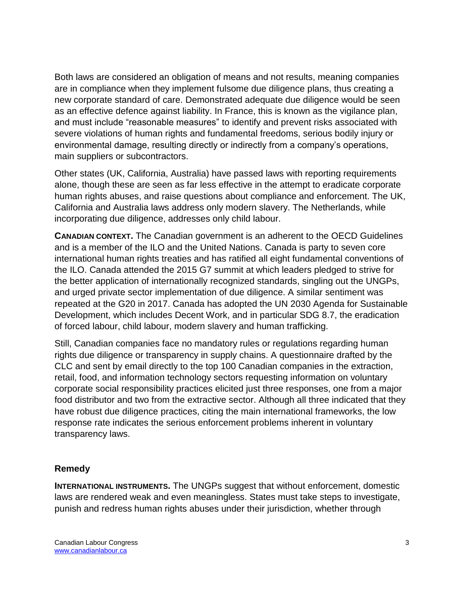Both laws are considered an obligation of means and not results, meaning companies are in compliance when they implement fulsome due diligence plans, thus creating a new corporate standard of care. Demonstrated adequate due diligence would be seen as an effective defence against liability. In France, this is known as the vigilance plan, and must include "reasonable measures" to identify and prevent risks associated with severe violations of human rights and fundamental freedoms, serious bodily injury or environmental damage, resulting directly or indirectly from a company's operations, main suppliers or subcontractors.

Other states (UK, California, Australia) have passed laws with reporting requirements alone, though these are seen as far less effective in the attempt to eradicate corporate human rights abuses, and raise questions about compliance and enforcement. The UK, California and Australia laws address only modern slavery. The Netherlands, while incorporating due diligence, addresses only child labour.

**CANADIAN CONTEXT.** The Canadian government is an adherent to the OECD Guidelines and is a member of the ILO and the United Nations. Canada is party to seven core international human rights treaties and has ratified all eight fundamental conventions of the ILO. Canada attended the 2015 G7 summit at which leaders pledged to strive for the better application of internationally recognized standards, singling out the UNGPs, and urged private sector implementation of due diligence. A similar sentiment was repeated at the G20 in 2017. Canada has adopted the UN 2030 Agenda for Sustainable Development, which includes Decent Work, and in particular SDG 8.7, the eradication of forced labour, child labour, modern slavery and human trafficking.

Still, Canadian companies face no mandatory rules or regulations regarding human rights due diligence or transparency in supply chains. A questionnaire drafted by the CLC and sent by email directly to the top 100 Canadian companies in the extraction, retail, food, and information technology sectors requesting information on voluntary corporate social responsibility practices elicited just three responses, one from a major food distributor and two from the extractive sector. Although all three indicated that they have robust due diligence practices, citing the main international frameworks, the low response rate indicates the serious enforcement problems inherent in voluntary transparency laws.

### **Remedy**

**INTERNATIONAL INSTRUMENTS.** The UNGPs suggest that without enforcement, domestic laws are rendered weak and even meaningless. States must take steps to investigate, punish and redress human rights abuses under their jurisdiction, whether through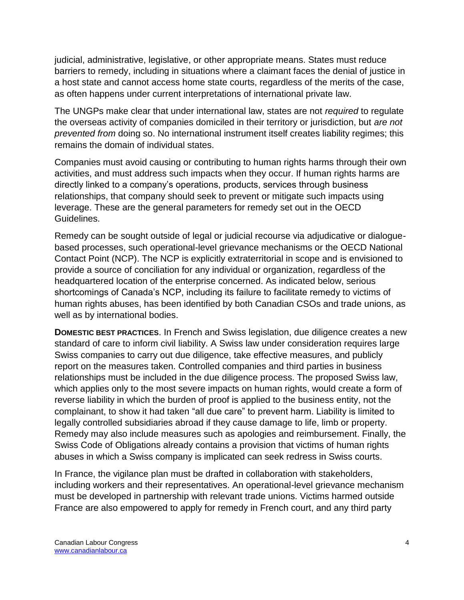judicial, administrative, legislative, or other appropriate means. States must reduce barriers to remedy, including in situations where a claimant faces the denial of justice in a host state and cannot access home state courts, regardless of the merits of the case, as often happens under current interpretations of international private law.

The UNGPs make clear that under international law, states are not *required* to regulate the overseas activity of companies domiciled in their territory or jurisdiction, but *are not prevented from* doing so. No international instrument itself creates liability regimes; this remains the domain of individual states.

Companies must avoid causing or contributing to human rights harms through their own activities, and must address such impacts when they occur. If human rights harms are directly linked to a company's operations, products, services through business relationships, that company should seek to prevent or mitigate such impacts using leverage. These are the general parameters for remedy set out in the OECD Guidelines.

Remedy can be sought outside of legal or judicial recourse via adjudicative or dialoguebased processes, such operational-level grievance mechanisms or the OECD National Contact Point (NCP). The NCP is explicitly extraterritorial in scope and is envisioned to provide a source of conciliation for any individual or organization, regardless of the headquartered location of the enterprise concerned. As indicated below, serious shortcomings of Canada's NCP, including its failure to facilitate remedy to victims of human rights abuses, has been identified by both Canadian CSOs and trade unions, as well as by international bodies.

**DOMESTIC BEST PRACTICES.** In French and Swiss legislation, due diligence creates a new standard of care to inform civil liability. A Swiss law under consideration requires large Swiss companies to carry out due diligence, take effective measures, and publicly report on the measures taken. Controlled companies and third parties in business relationships must be included in the due diligence process. The proposed Swiss law, which applies only to the most severe impacts on human rights, would create a form of reverse liability in which the burden of proof is applied to the business entity, not the complainant, to show it had taken "all due care" to prevent harm. Liability is limited to legally controlled subsidiaries abroad if they cause damage to life, limb or property. Remedy may also include measures such as apologies and reimbursement. Finally, the Swiss Code of Obligations already contains a provision that victims of human rights abuses in which a Swiss company is implicated can seek redress in Swiss courts.

In France, the vigilance plan must be drafted in collaboration with stakeholders, including workers and their representatives. An operational-level grievance mechanism must be developed in partnership with relevant trade unions. Victims harmed outside France are also empowered to apply for remedy in French court, and any third party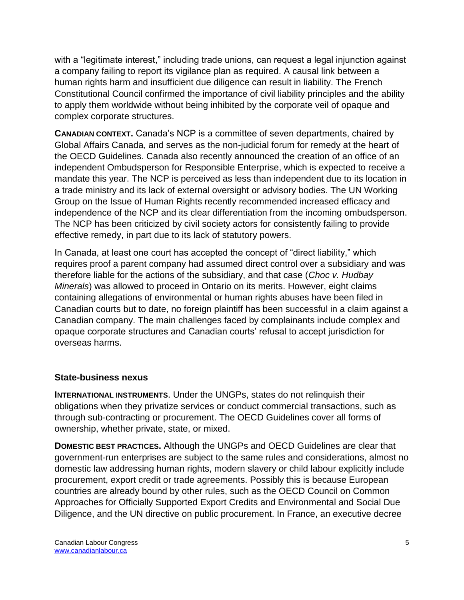with a "legitimate interest," including trade unions, can request a legal injunction against a company failing to report its vigilance plan as required. A causal link between a human rights harm and insufficient due diligence can result in liability. The French Constitutional Council confirmed the importance of civil liability principles and the ability to apply them worldwide without being inhibited by the corporate veil of opaque and complex corporate structures.

**CANADIAN CONTEXT.** Canada's NCP is a committee of seven departments, chaired by Global Affairs Canada, and serves as the non-judicial forum for remedy at the heart of the OECD Guidelines. Canada also recently announced the creation of an office of an independent Ombudsperson for Responsible Enterprise, which is expected to receive a mandate this year. The NCP is perceived as less than independent due to its location in a trade ministry and its lack of external oversight or advisory bodies. The UN Working Group on the Issue of Human Rights recently recommended increased efficacy and independence of the NCP and its clear differentiation from the incoming ombudsperson. The NCP has been criticized by civil society actors for consistently failing to provide effective remedy, in part due to its lack of statutory powers.

In Canada, at least one court has accepted the concept of "direct liability," which requires proof a parent company had assumed direct control over a subsidiary and was therefore liable for the actions of the subsidiary, and that case (*Choc v. Hudbay Minerals*) was allowed to proceed in Ontario on its merits. However, eight claims containing allegations of environmental or human rights abuses have been filed in Canadian courts but to date, no foreign plaintiff has been successful in a claim against a Canadian company. The main challenges faced by complainants include complex and opaque corporate structures and Canadian courts' refusal to accept jurisdiction for overseas harms.

### **State-business nexus**

**INTERNATIONAL INSTRUMENTS**. Under the UNGPs, states do not relinquish their obligations when they privatize services or conduct commercial transactions, such as through sub-contracting or procurement. The OECD Guidelines cover all forms of ownership, whether private, state, or mixed.

**DOMESTIC BEST PRACTICES.** Although the UNGPs and OECD Guidelines are clear that government-run enterprises are subject to the same rules and considerations, almost no domestic law addressing human rights, modern slavery or child labour explicitly include procurement, export credit or trade agreements. Possibly this is because European countries are already bound by other rules, such as the OECD Council on Common Approaches for Officially Supported Export Credits and Environmental and Social Due Diligence, and the UN directive on public procurement. In France, an executive decree